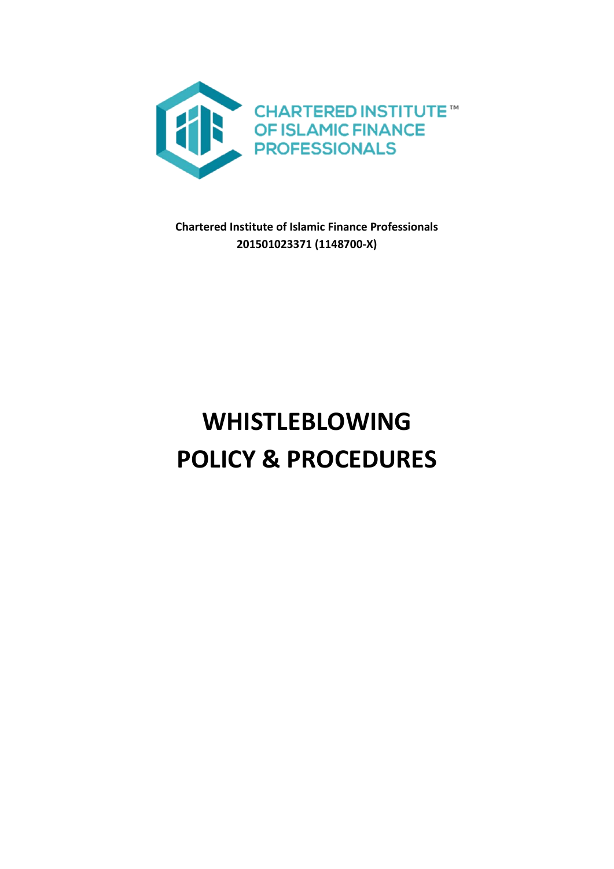

**Chartered Institute of Islamic Finance Professionals 201501023371 (1148700-X)**

# **WHISTLEBLOWING POLICY & PROCEDURES**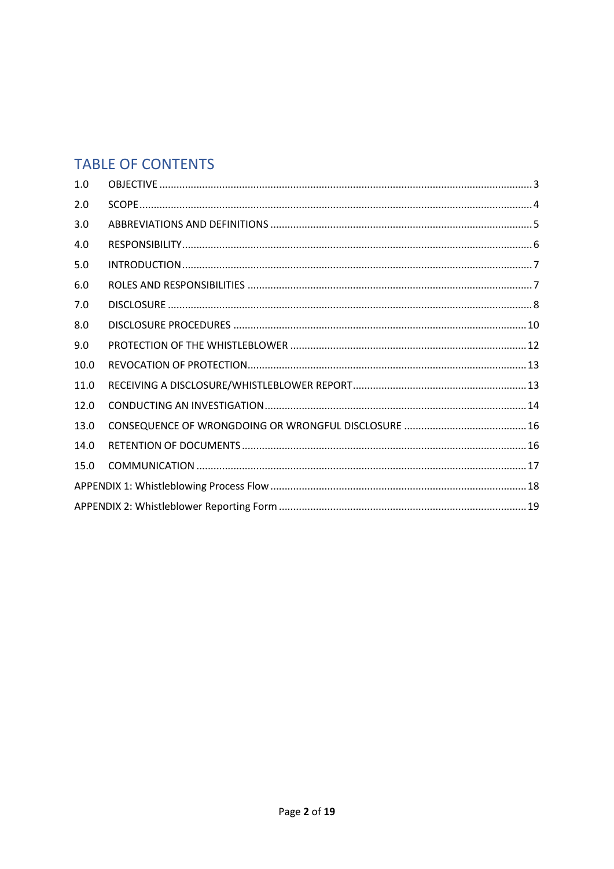# **TABLE OF CONTENTS**

| 1.0  |  |  |  |
|------|--|--|--|
| 2.0  |  |  |  |
| 3.0  |  |  |  |
| 4.0  |  |  |  |
| 5.0  |  |  |  |
| 6.0  |  |  |  |
| 7.0  |  |  |  |
| 8.0  |  |  |  |
| 9.0  |  |  |  |
| 10.0 |  |  |  |
| 11.0 |  |  |  |
| 12.0 |  |  |  |
| 13.0 |  |  |  |
| 14.0 |  |  |  |
| 15.0 |  |  |  |
|      |  |  |  |
|      |  |  |  |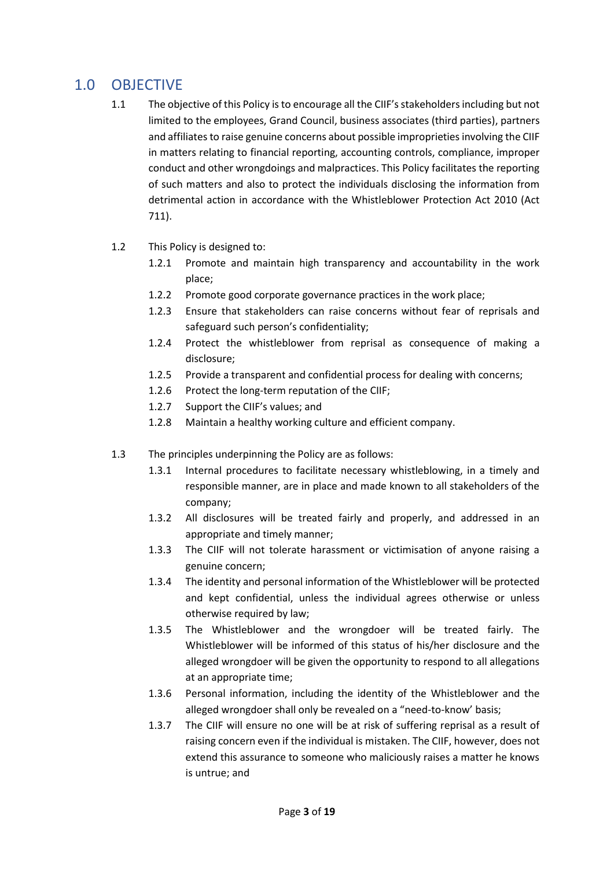# <span id="page-2-0"></span>1.0 OBJECTIVE

- 1.1 The objective of this Policy is to encourage all the CIIF's stakeholders including but not limited to the employees, Grand Council, business associates (third parties), partners and affiliates to raise genuine concerns about possible improprieties involving the CIIF in matters relating to financial reporting, accounting controls, compliance, improper conduct and other wrongdoings and malpractices. This Policy facilitates the reporting of such matters and also to protect the individuals disclosing the information from detrimental action in accordance with the Whistleblower Protection Act 2010 (Act 711).
- 1.2 This Policy is designed to:
	- 1.2.1 Promote and maintain high transparency and accountability in the work place;
	- 1.2.2 Promote good corporate governance practices in the work place;
	- 1.2.3 Ensure that stakeholders can raise concerns without fear of reprisals and safeguard such person's confidentiality;
	- 1.2.4 Protect the whistleblower from reprisal as consequence of making a disclosure;
	- 1.2.5 Provide a transparent and confidential process for dealing with concerns;
	- 1.2.6 Protect the long-term reputation of the CIIF;
	- 1.2.7 Support the CIIF's values; and
	- 1.2.8 Maintain a healthy working culture and efficient company.
- 1.3 The principles underpinning the Policy are as follows:
	- 1.3.1 Internal procedures to facilitate necessary whistleblowing, in a timely and responsible manner, are in place and made known to all stakeholders of the company;
	- 1.3.2 All disclosures will be treated fairly and properly, and addressed in an appropriate and timely manner;
	- 1.3.3 The CIIF will not tolerate harassment or victimisation of anyone raising a genuine concern;
	- 1.3.4 The identity and personal information of the Whistleblower will be protected and kept confidential, unless the individual agrees otherwise or unless otherwise required by law;
	- 1.3.5 The Whistleblower and the wrongdoer will be treated fairly. The Whistleblower will be informed of this status of his/her disclosure and the alleged wrongdoer will be given the opportunity to respond to all allegations at an appropriate time;
	- 1.3.6 Personal information, including the identity of the Whistleblower and the alleged wrongdoer shall only be revealed on a "need-to-know' basis;
	- 1.3.7 The CIIF will ensure no one will be at risk of suffering reprisal as a result of raising concern even if the individual is mistaken. The CIIF, however, does not extend this assurance to someone who maliciously raises a matter he knows is untrue; and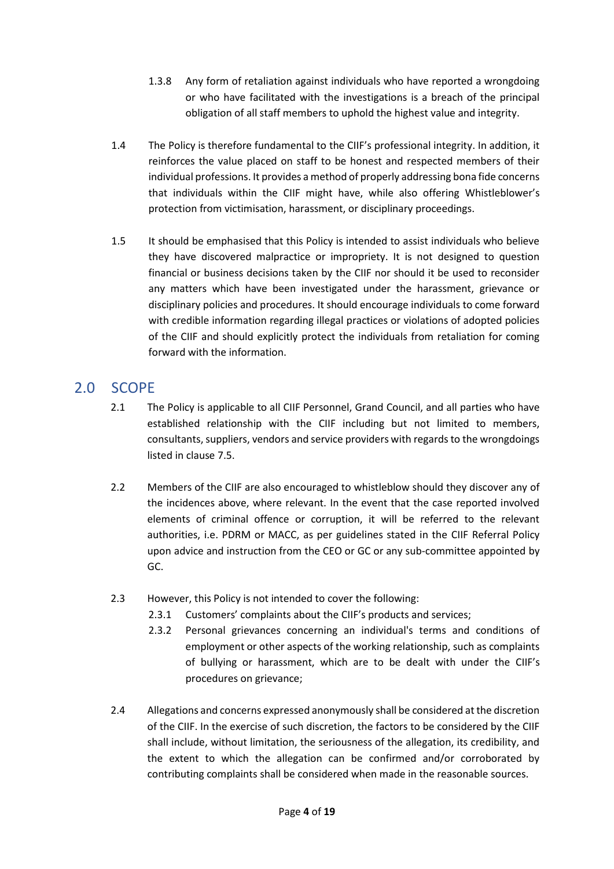- 1.3.8 Any form of retaliation against individuals who have reported a wrongdoing or who have facilitated with the investigations is a breach of the principal obligation of all staff members to uphold the highest value and integrity.
- 1.4 The Policy is therefore fundamental to the CIIF's professional integrity. In addition, it reinforces the value placed on staff to be honest and respected members of their individual professions. It provides a method of properly addressing bona fide concerns that individuals within the CIIF might have, while also offering Whistleblower's protection from victimisation, harassment, or disciplinary proceedings.
- 1.5 It should be emphasised that this Policy is intended to assist individuals who believe they have discovered malpractice or impropriety. It is not designed to question financial or business decisions taken by the CIIF nor should it be used to reconsider any matters which have been investigated under the harassment, grievance or disciplinary policies and procedures. It should encourage individuals to come forward with credible information regarding illegal practices or violations of adopted policies of the CIIF and should explicitly protect the individuals from retaliation for coming forward with the information.

# <span id="page-3-0"></span>2.0 SCOPE

- 2.1 The Policy is applicable to all CIIF Personnel, Grand Council, and all parties who have established relationship with the CIIF including but not limited to members, consultants, suppliers, vendors and service providers with regards to the wrongdoings listed in clause 7.5.
- 2.2 Members of the CIIF are also encouraged to whistleblow should they discover any of the incidences above, where relevant. In the event that the case reported involved elements of criminal offence or corruption, it will be referred to the relevant authorities, i.e. PDRM or MACC, as per guidelines stated in the CIIF Referral Policy upon advice and instruction from the CEO or GC or any sub-committee appointed by GC.
- 2.3 However, this Policy is not intended to cover the following:
	- 2.3.1 Customers' complaints about the CIIF's products and services;
	- 2.3.2 Personal grievances concerning an individual's terms and conditions of employment or other aspects of the working relationship, such as complaints of bullying or harassment, which are to be dealt with under the CIIF's procedures on grievance;
- 2.4 Allegations and concerns expressed anonymously shall be considered at the discretion of the CIIF. In the exercise of such discretion, the factors to be considered by the CIIF shall include, without limitation, the seriousness of the allegation, its credibility, and the extent to which the allegation can be confirmed and/or corroborated by contributing complaints shall be considered when made in the reasonable sources.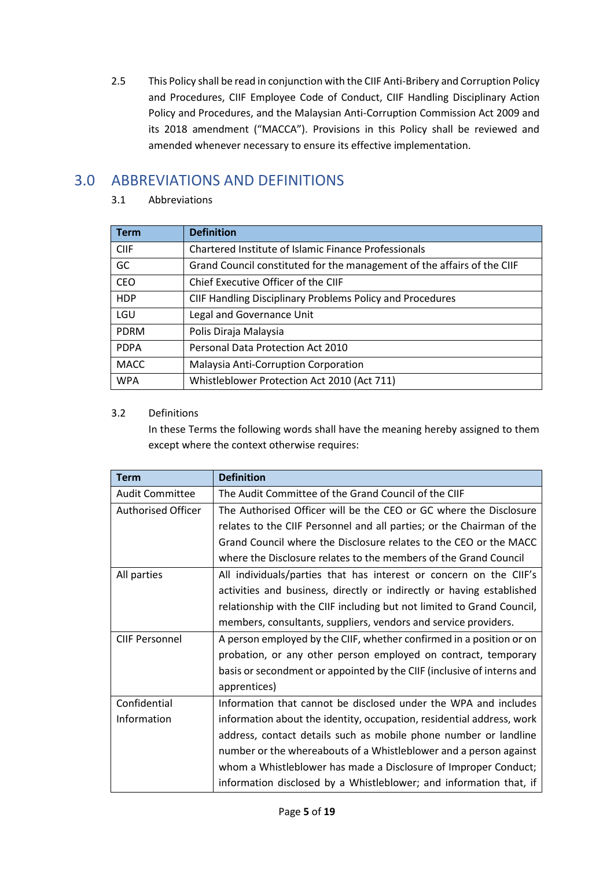2.5 This Policy shall be read in conjunction with the CIIF Anti-Bribery and Corruption Policy and Procedures, CIIF Employee Code of Conduct, CIIF Handling Disciplinary Action Policy and Procedures, and the Malaysian Anti-Corruption Commission Act 2009 and its 2018 amendment ("MACCA"). Provisions in this Policy shall be reviewed and amended whenever necessary to ensure its effective implementation.

# <span id="page-4-0"></span>3.0 ABBREVIATIONS AND DEFINITIONS

#### 3.1 Abbreviations

| <b>Term</b> | <b>Definition</b>                                                       |
|-------------|-------------------------------------------------------------------------|
| <b>CIIF</b> | Chartered Institute of Islamic Finance Professionals                    |
| GC          | Grand Council constituted for the management of the affairs of the CIIF |
| <b>CEO</b>  | Chief Executive Officer of the CIIF                                     |
| <b>HDP</b>  | CIIF Handling Disciplinary Problems Policy and Procedures               |
| LGU         | Legal and Governance Unit                                               |
| <b>PDRM</b> | Polis Diraja Malaysia                                                   |
| <b>PDPA</b> | Personal Data Protection Act 2010                                       |
| <b>MACC</b> | Malaysia Anti-Corruption Corporation                                    |
| <b>WPA</b>  | Whistleblower Protection Act 2010 (Act 711)                             |

#### 3.2 Definitions

In these Terms the following words shall have the meaning hereby assigned to them except where the context otherwise requires:

| <b>Term</b>                                                                                   | <b>Definition</b>                                                      |  |
|-----------------------------------------------------------------------------------------------|------------------------------------------------------------------------|--|
| The Audit Committee of the Grand Council of the CIIF<br><b>Audit Committee</b>                |                                                                        |  |
| Authorised Officer                                                                            | The Authorised Officer will be the CEO or GC where the Disclosure      |  |
|                                                                                               | relates to the CIIF Personnel and all parties; or the Chairman of the  |  |
|                                                                                               | Grand Council where the Disclosure relates to the CEO or the MACC      |  |
|                                                                                               | where the Disclosure relates to the members of the Grand Council       |  |
| All parties<br>All individuals/parties that has interest or concern on the CIIF's             |                                                                        |  |
|                                                                                               | activities and business, directly or indirectly or having established  |  |
|                                                                                               | relationship with the CIIF including but not limited to Grand Council, |  |
|                                                                                               | members, consultants, suppliers, vendors and service providers.        |  |
| A person employed by the CIIF, whether confirmed in a position or on<br><b>CIIF Personnel</b> |                                                                        |  |
|                                                                                               | probation, or any other person employed on contract, temporary         |  |
|                                                                                               | basis or secondment or appointed by the CIIF (inclusive of interns and |  |
|                                                                                               | apprentices)                                                           |  |
| Confidential                                                                                  | Information that cannot be disclosed under the WPA and includes        |  |
| Information                                                                                   | information about the identity, occupation, residential address, work  |  |
|                                                                                               | address, contact details such as mobile phone number or landline       |  |
|                                                                                               | number or the whereabouts of a Whistleblower and a person against      |  |
|                                                                                               | whom a Whistleblower has made a Disclosure of Improper Conduct;        |  |
|                                                                                               | information disclosed by a Whistleblower; and information that, if     |  |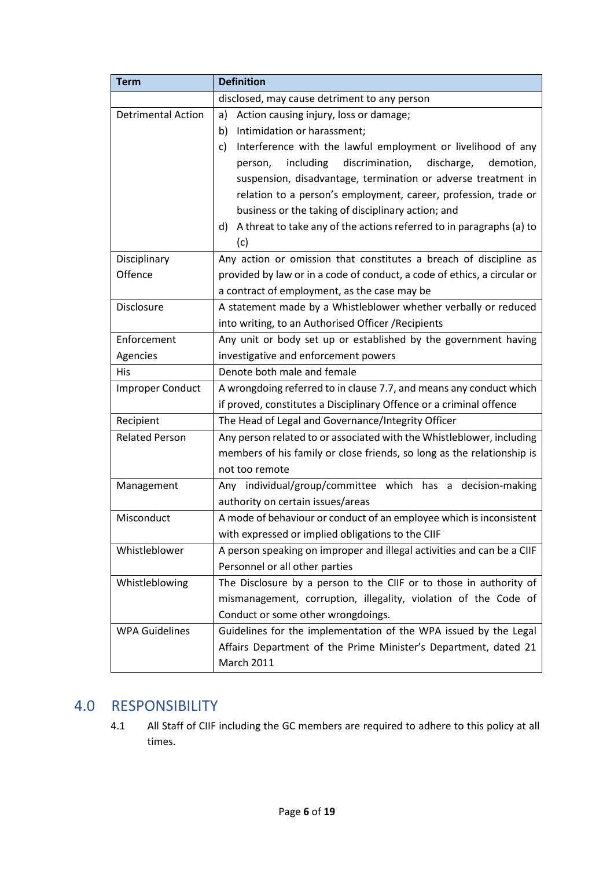| <b>Term</b>                                                                          | <b>Definition</b>                                                          |  |  |
|--------------------------------------------------------------------------------------|----------------------------------------------------------------------------|--|--|
|                                                                                      | disclosed, may cause detriment to any person                               |  |  |
| <b>Detrimental Action</b>                                                            | Action causing injury, loss or damage;<br>a)                               |  |  |
|                                                                                      | Intimidation or harassment;<br>b)                                          |  |  |
|                                                                                      | Interference with the lawful employment or livelihood of any<br>c)         |  |  |
|                                                                                      | discrimination,<br>discharge,<br>including<br>demotion,<br>person,         |  |  |
|                                                                                      | suspension, disadvantage, termination or adverse treatment in              |  |  |
|                                                                                      | relation to a person's employment, career, profession, trade or            |  |  |
|                                                                                      | business or the taking of disciplinary action; and                         |  |  |
|                                                                                      | A threat to take any of the actions referred to in paragraphs (a) to<br>d) |  |  |
|                                                                                      | (c)                                                                        |  |  |
| Disciplinary                                                                         | Any action or omission that constitutes a breach of discipline as          |  |  |
| Offence                                                                              | provided by law or in a code of conduct, a code of ethics, a circular or   |  |  |
|                                                                                      | a contract of employment, as the case may be                               |  |  |
| Disclosure                                                                           | A statement made by a Whistleblower whether verbally or reduced            |  |  |
|                                                                                      | into writing, to an Authorised Officer / Recipients                        |  |  |
| Enforcement                                                                          | Any unit or body set up or established by the government having            |  |  |
| Agencies                                                                             | investigative and enforcement powers                                       |  |  |
| His                                                                                  | Denote both male and female                                                |  |  |
| <b>Improper Conduct</b>                                                              | A wrongdoing referred to in clause 7.7, and means any conduct which        |  |  |
|                                                                                      | if proved, constitutes a Disciplinary Offence or a criminal offence        |  |  |
| Recipient                                                                            | The Head of Legal and Governance/Integrity Officer                         |  |  |
| <b>Related Person</b>                                                                | Any person related to or associated with the Whistleblower, including      |  |  |
|                                                                                      | members of his family or close friends, so long as the relationship is     |  |  |
|                                                                                      | not too remote                                                             |  |  |
| Management                                                                           | Any individual/group/committee which has a decision-making                 |  |  |
|                                                                                      | authority on certain issues/areas                                          |  |  |
| Misconduct                                                                           | A mode of behaviour or conduct of an employee which is inconsistent        |  |  |
|                                                                                      | with expressed or implied obligations to the CIIF                          |  |  |
| Whistleblower                                                                        | A person speaking on improper and illegal activities and can be a CIIF     |  |  |
|                                                                                      | Personnel or all other parties                                             |  |  |
| The Disclosure by a person to the CIIF or to those in authority of<br>Whistleblowing |                                                                            |  |  |
|                                                                                      | mismanagement, corruption, illegality, violation of the Code of            |  |  |
|                                                                                      | Conduct or some other wrongdoings.                                         |  |  |
| <b>WPA Guidelines</b>                                                                | Guidelines for the implementation of the WPA issued by the Legal           |  |  |
|                                                                                      | Affairs Department of the Prime Minister's Department, dated 21            |  |  |
|                                                                                      | <b>March 2011</b>                                                          |  |  |

# <span id="page-5-0"></span>4.0 RESPONSIBILITY

4.1 All Staff of CIIF including the GC members are required to adhere to this policy at all times.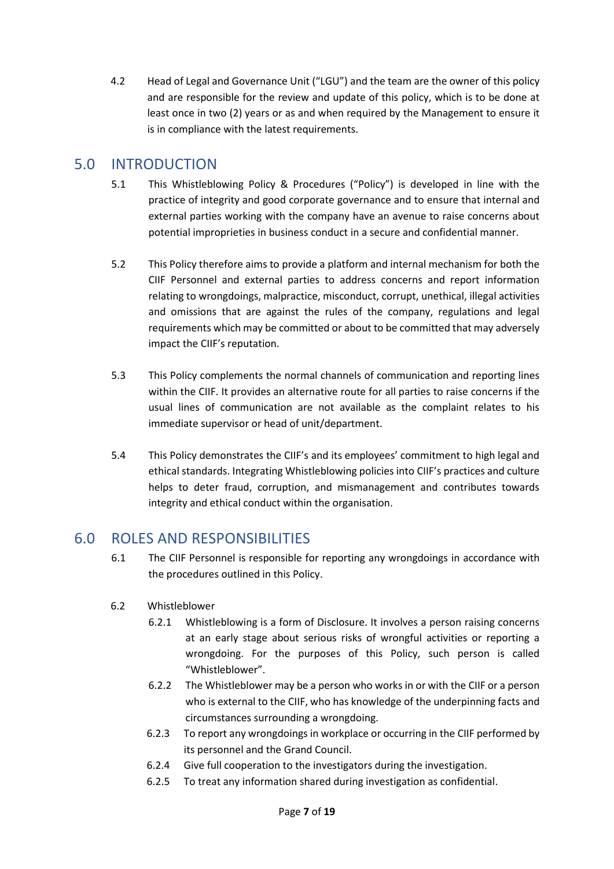4.2 Head of Legal and Governance Unit ("LGU") and the team are the owner of this policy and are responsible for the review and update of this policy, which is to be done at least once in two (2) years or as and when required by the Management to ensure it is in compliance with the latest requirements.

## <span id="page-6-0"></span>5.0 INTRODUCTION

- 5.1 This Whistleblowing Policy & Procedures ("Policy") is developed in line with the practice of integrity and good corporate governance and to ensure that internal and external parties working with the company have an avenue to raise concerns about potential improprieties in business conduct in a secure and confidential manner.
- 5.2 This Policy therefore aims to provide a platform and internal mechanism for both the CIIF Personnel and external parties to address concerns and report information relating to wrongdoings, malpractice, misconduct, corrupt, unethical, illegal activities and omissions that are against the rules of the company, regulations and legal requirements which may be committed or about to be committed that may adversely impact the CIIF's reputation.
- 5.3 This Policy complements the normal channels of communication and reporting lines within the CIIF. It provides an alternative route for all parties to raise concerns if the usual lines of communication are not available as the complaint relates to his immediate supervisor or head of unit/department.
- 5.4 This Policy demonstrates the CIIF's and its employees' commitment to high legal and ethical standards. Integrating Whistleblowing policies into CIIF's practices and culture helps to deter fraud, corruption, and mismanagement and contributes towards integrity and ethical conduct within the organisation.

# <span id="page-6-1"></span>6.0 ROLES AND RESPONSIBILITIES

- 6.1 The CIIF Personnel is responsible for reporting any wrongdoings in accordance with the procedures outlined in this Policy.
- 6.2 Whistleblower
	- 6.2.1 Whistleblowing is a form of Disclosure. It involves a person raising concerns at an early stage about serious risks of wrongful activities or reporting a wrongdoing. For the purposes of this Policy, such person is called "Whistleblower".
	- 6.2.2 The Whistleblower may be a person who works in or with the CIIF or a person who is external to the CIIF, who has knowledge of the underpinning facts and circumstances surrounding a wrongdoing.
	- 6.2.3 To report any wrongdoings in workplace or occurring in the CIIF performed by its personnel and the Grand Council.
	- 6.2.4 Give full cooperation to the investigators during the investigation.
	- 6.2.5 To treat any information shared during investigation as confidential.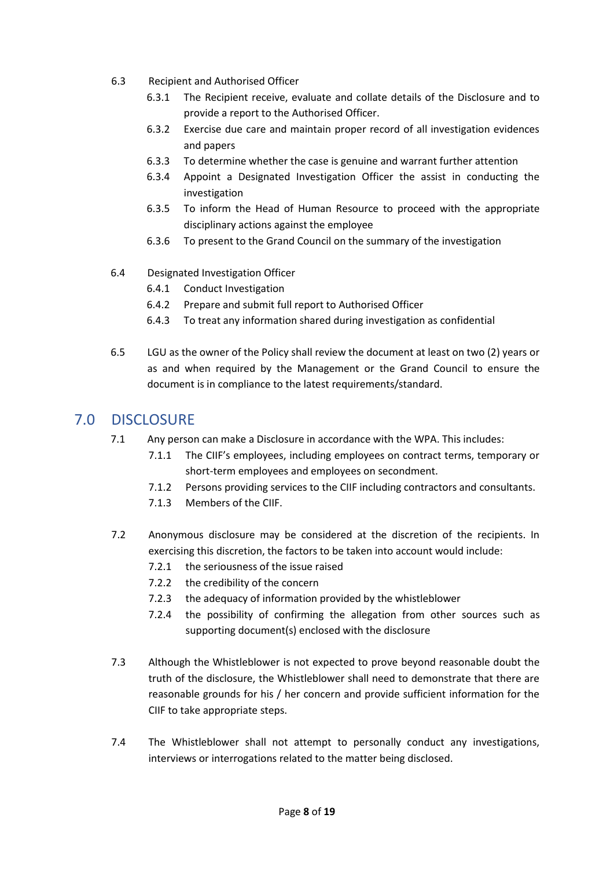- 6.3 Recipient and Authorised Officer
	- 6.3.1 The Recipient receive, evaluate and collate details of the Disclosure and to provide a report to the Authorised Officer.
	- 6.3.2 Exercise due care and maintain proper record of all investigation evidences and papers
	- 6.3.3 To determine whether the case is genuine and warrant further attention
	- 6.3.4 Appoint a Designated Investigation Officer the assist in conducting the investigation
	- 6.3.5 To inform the Head of Human Resource to proceed with the appropriate disciplinary actions against the employee
	- 6.3.6 To present to the Grand Council on the summary of the investigation
- 6.4 Designated Investigation Officer
	- 6.4.1 Conduct Investigation
	- 6.4.2 Prepare and submit full report to Authorised Officer
	- 6.4.3 To treat any information shared during investigation as confidential
- 6.5 LGU as the owner of the Policy shall review the document at least on two (2) years or as and when required by the Management or the Grand Council to ensure the document is in compliance to the latest requirements/standard.

## <span id="page-7-0"></span>7.0 DISCLOSURE

- 7.1 Any person can make a Disclosure in accordance with the WPA. This includes:
	- 7.1.1 The CIIF's employees, including employees on contract terms, temporary or short-term employees and employees on secondment.
	- 7.1.2 Persons providing services to the CIIF including contractors and consultants.
	- 7.1.3 Members of the CIIF.
- 7.2 Anonymous disclosure may be considered at the discretion of the recipients. In exercising this discretion, the factors to be taken into account would include:
	- 7.2.1 the seriousness of the issue raised
	- 7.2.2 the credibility of the concern
	- 7.2.3 the adequacy of information provided by the whistleblower
	- 7.2.4 the possibility of confirming the allegation from other sources such as supporting document(s) enclosed with the disclosure
- 7.3 Although the Whistleblower is not expected to prove beyond reasonable doubt the truth of the disclosure, the Whistleblower shall need to demonstrate that there are reasonable grounds for his / her concern and provide sufficient information for the CIIF to take appropriate steps.
- 7.4 The Whistleblower shall not attempt to personally conduct any investigations, interviews or interrogations related to the matter being disclosed.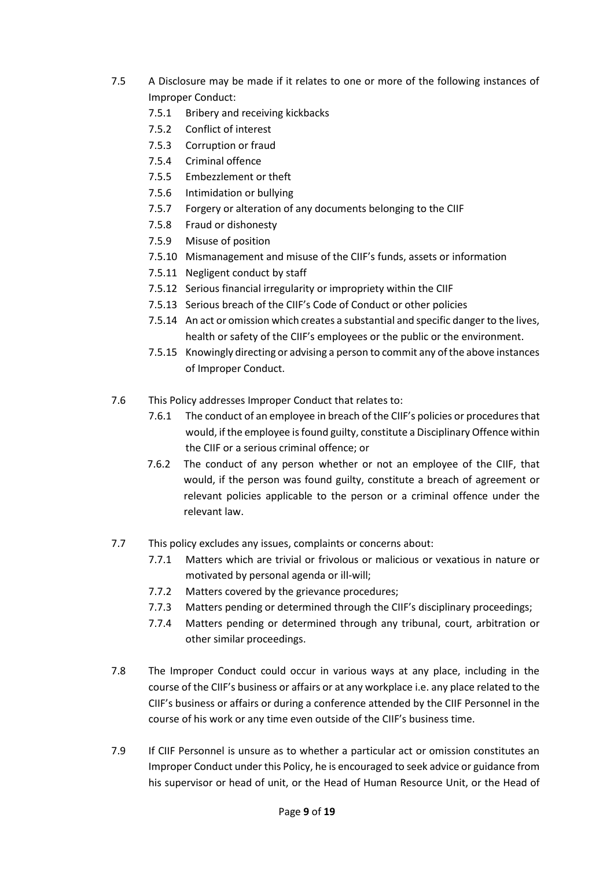- 7.5 A Disclosure may be made if it relates to one or more of the following instances of Improper Conduct:
	- 7.5.1 Bribery and receiving kickbacks
	- 7.5.2 Conflict of interest
	- 7.5.3 Corruption or fraud
	- 7.5.4 Criminal offence
	- 7.5.5 Embezzlement or theft
	- 7.5.6 Intimidation or bullying
	- 7.5.7 Forgery or alteration of any documents belonging to the CIIF
	- 7.5.8 Fraud or dishonesty
	- 7.5.9 Misuse of position
	- 7.5.10 Mismanagement and misuse of the CIIF's funds, assets or information
	- 7.5.11 Negligent conduct by staff
	- 7.5.12 Serious financial irregularity or impropriety within the CIIF
	- 7.5.13 Serious breach of the CIIF's Code of Conduct or other policies
	- 7.5.14 An act or omission which creates a substantial and specific danger to the lives, health or safety of the CIIF's employees or the public or the environment.
	- 7.5.15 Knowingly directing or advising a person to commit any of the above instances of Improper Conduct.
- 7.6 This Policy addresses Improper Conduct that relates to:
	- 7.6.1 The conduct of an employee in breach of the CIIF's policies or procedures that would, if the employee is found guilty, constitute a Disciplinary Offence within the CIIF or a serious criminal offence; or
	- 7.6.2 The conduct of any person whether or not an employee of the CIIF, that would, if the person was found guilty, constitute a breach of agreement or relevant policies applicable to the person or a criminal offence under the relevant law.
- 7.7 This policy excludes any issues, complaints or concerns about:
	- 7.7.1 Matters which are trivial or frivolous or malicious or vexatious in nature or motivated by personal agenda or ill-will;
	- 7.7.2 Matters covered by the grievance procedures;
	- 7.7.3 Matters pending or determined through the CIIF's disciplinary proceedings;
	- 7.7.4 Matters pending or determined through any tribunal, court, arbitration or other similar proceedings.
- 7.8 The Improper Conduct could occur in various ways at any place, including in the course of the CIIF's business or affairs or at any workplace i.e. any place related to the CIIF's business or affairs or during a conference attended by the CIIF Personnel in the course of his work or any time even outside of the CIIF's business time.
- 7.9 If CIIF Personnel is unsure as to whether a particular act or omission constitutes an Improper Conduct under this Policy, he is encouraged to seek advice or guidance from his supervisor or head of unit, or the Head of Human Resource Unit, or the Head of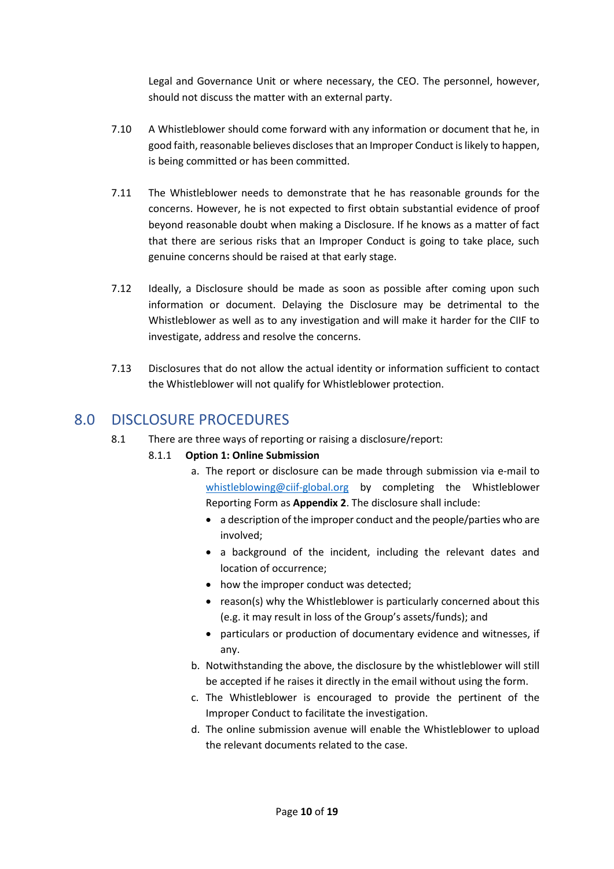Legal and Governance Unit or where necessary, the CEO. The personnel, however, should not discuss the matter with an external party.

- 7.10 A Whistleblower should come forward with any information or document that he, in good faith, reasonable believes discloses that an Improper Conduct is likely to happen, is being committed or has been committed.
- 7.11 The Whistleblower needs to demonstrate that he has reasonable grounds for the concerns. However, he is not expected to first obtain substantial evidence of proof beyond reasonable doubt when making a Disclosure. If he knows as a matter of fact that there are serious risks that an Improper Conduct is going to take place, such genuine concerns should be raised at that early stage.
- 7.12 Ideally, a Disclosure should be made as soon as possible after coming upon such information or document. Delaying the Disclosure may be detrimental to the Whistleblower as well as to any investigation and will make it harder for the CIIF to investigate, address and resolve the concerns.
- 7.13 Disclosures that do not allow the actual identity or information sufficient to contact the Whistleblower will not qualify for Whistleblower protection.

# <span id="page-9-0"></span>8.0 DISCLOSURE PROCEDURES

8.1 There are three ways of reporting or raising a disclosure/report:

#### 8.1.1 **Option 1: Online Submission**

- a. The report or disclosure can be made through submission via e-mail to [whistleblowing@ciif-global.org](mailto:whistleblowing@ciif-global.org) by completing the Whistleblower Reporting Form as **Appendix 2**. The disclosure shall include:
	- a description of the improper conduct and the people/parties who are involved;
	- a background of the incident, including the relevant dates and location of occurrence;
	- how the improper conduct was detected;
	- reason(s) why the Whistleblower is particularly concerned about this (e.g. it may result in loss of the Group's assets/funds); and
	- particulars or production of documentary evidence and witnesses, if any.
- b. Notwithstanding the above, the disclosure by the whistleblower will still be accepted if he raises it directly in the email without using the form.
- c. The Whistleblower is encouraged to provide the pertinent of the Improper Conduct to facilitate the investigation.
- d. The online submission avenue will enable the Whistleblower to upload the relevant documents related to the case.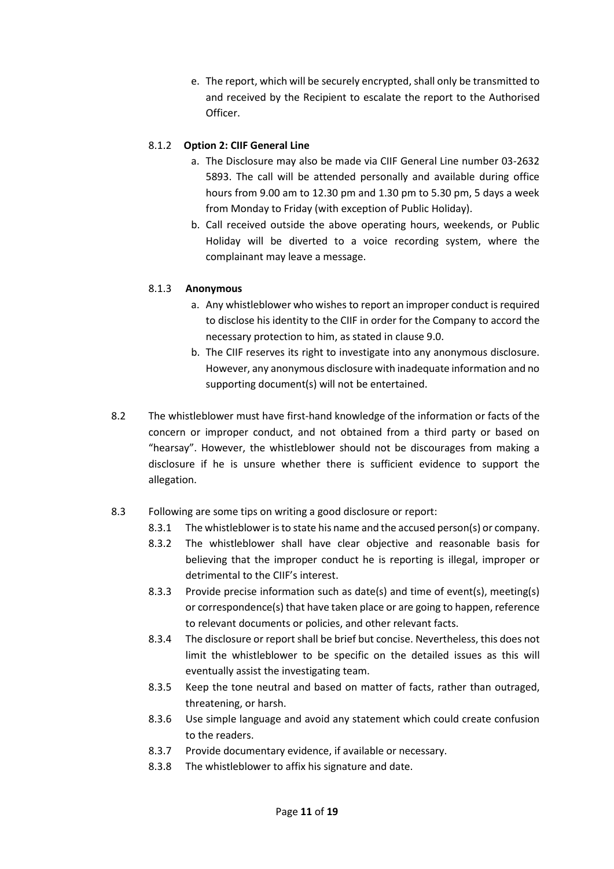e. The report, which will be securely encrypted, shall only be transmitted to and received by the Recipient to escalate the report to the Authorised Officer.

#### 8.1.2 **Option 2: CIIF General Line**

- a. The Disclosure may also be made via CIIF General Line number 03-2632 5893. The call will be attended personally and available during office hours from 9.00 am to 12.30 pm and 1.30 pm to 5.30 pm, 5 days a week from Monday to Friday (with exception of Public Holiday).
- b. Call received outside the above operating hours, weekends, or Public Holiday will be diverted to a voice recording system, where the complainant may leave a message.

#### 8.1.3 **Anonymous**

- a. Any whistleblower who wishes to report an improper conduct is required to disclose his identity to the CIIF in order for the Company to accord the necessary protection to him, as stated in clause 9.0.
- b. The CIIF reserves its right to investigate into any anonymous disclosure. However, any anonymous disclosure with inadequate information and no supporting document(s) will not be entertained.
- 8.2 The whistleblower must have first-hand knowledge of the information or facts of the concern or improper conduct, and not obtained from a third party or based on "hearsay". However, the whistleblower should not be discourages from making a disclosure if he is unsure whether there is sufficient evidence to support the allegation.
- 8.3 Following are some tips on writing a good disclosure or report:
	- 8.3.1 The whistleblower is to state his name and the accused person(s) or company.
	- 8.3.2 The whistleblower shall have clear objective and reasonable basis for believing that the improper conduct he is reporting is illegal, improper or detrimental to the CIIF's interest.
	- 8.3.3 Provide precise information such as date(s) and time of event(s), meeting(s) or correspondence(s) that have taken place or are going to happen, reference to relevant documents or policies, and other relevant facts.
	- 8.3.4 The disclosure or report shall be brief but concise. Nevertheless, this does not limit the whistleblower to be specific on the detailed issues as this will eventually assist the investigating team.
	- 8.3.5 Keep the tone neutral and based on matter of facts, rather than outraged, threatening, or harsh.
	- 8.3.6 Use simple language and avoid any statement which could create confusion to the readers.
	- 8.3.7 Provide documentary evidence, if available or necessary.
	- 8.3.8 The whistleblower to affix his signature and date.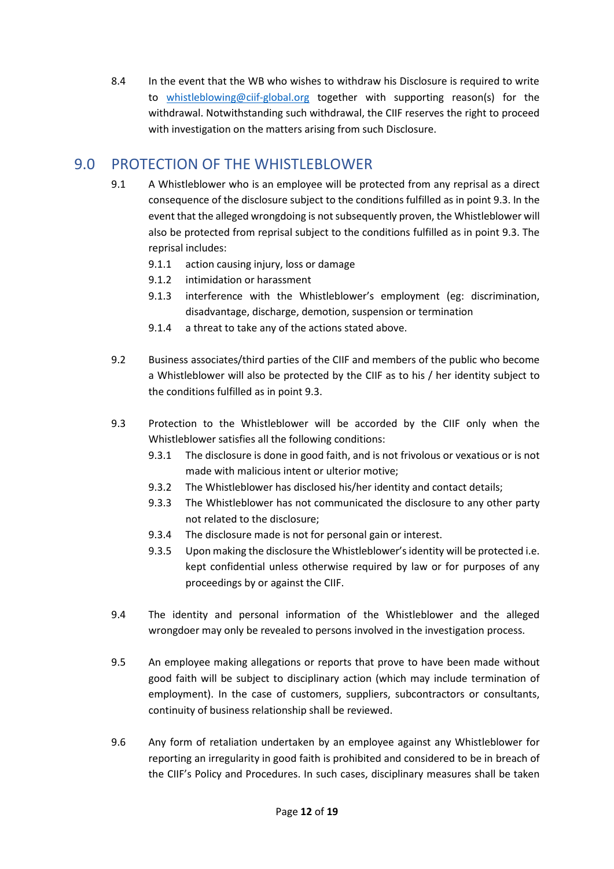8.4 In the event that the WB who wishes to withdraw his Disclosure is required to write to [whistleblowing@ciif-global.org](mailto:whistleblowing@ciif-global.org) together with supporting reason(s) for the withdrawal. Notwithstanding such withdrawal, the CIIF reserves the right to proceed with investigation on the matters arising from such Disclosure.

# <span id="page-11-0"></span>9.0 PROTECTION OF THE WHISTLEBLOWER

- 9.1 A Whistleblower who is an employee will be protected from any reprisal as a direct consequence of the disclosure subject to the conditions fulfilled as in point 9.3. In the event that the alleged wrongdoing is not subsequently proven, the Whistleblower will also be protected from reprisal subject to the conditions fulfilled as in point 9.3. The reprisal includes:
	- 9.1.1 action causing injury, loss or damage
	- 9.1.2 intimidation or harassment
	- 9.1.3 interference with the Whistleblower's employment (eg: discrimination, disadvantage, discharge, demotion, suspension or termination
	- 9.1.4 a threat to take any of the actions stated above.
- 9.2 Business associates/third parties of the CIIF and members of the public who become a Whistleblower will also be protected by the CIIF as to his / her identity subject to the conditions fulfilled as in point 9.3.
- 9.3 Protection to the Whistleblower will be accorded by the CIIF only when the Whistleblower satisfies all the following conditions:
	- 9.3.1 The disclosure is done in good faith, and is not frivolous or vexatious or is not made with malicious intent or ulterior motive;
	- 9.3.2 The Whistleblower has disclosed his/her identity and contact details;
	- 9.3.3 The Whistleblower has not communicated the disclosure to any other party not related to the disclosure;
	- 9.3.4 The disclosure made is not for personal gain or interest.
	- 9.3.5 Upon making the disclosure the Whistleblower's identity will be protected i.e. kept confidential unless otherwise required by law or for purposes of any proceedings by or against the CIIF.
- 9.4 The identity and personal information of the Whistleblower and the alleged wrongdoer may only be revealed to persons involved in the investigation process.
- 9.5 An employee making allegations or reports that prove to have been made without good faith will be subject to disciplinary action (which may include termination of employment). In the case of customers, suppliers, subcontractors or consultants, continuity of business relationship shall be reviewed.
- 9.6 Any form of retaliation undertaken by an employee against any Whistleblower for reporting an irregularity in good faith is prohibited and considered to be in breach of the CIIF's Policy and Procedures. In such cases, disciplinary measures shall be taken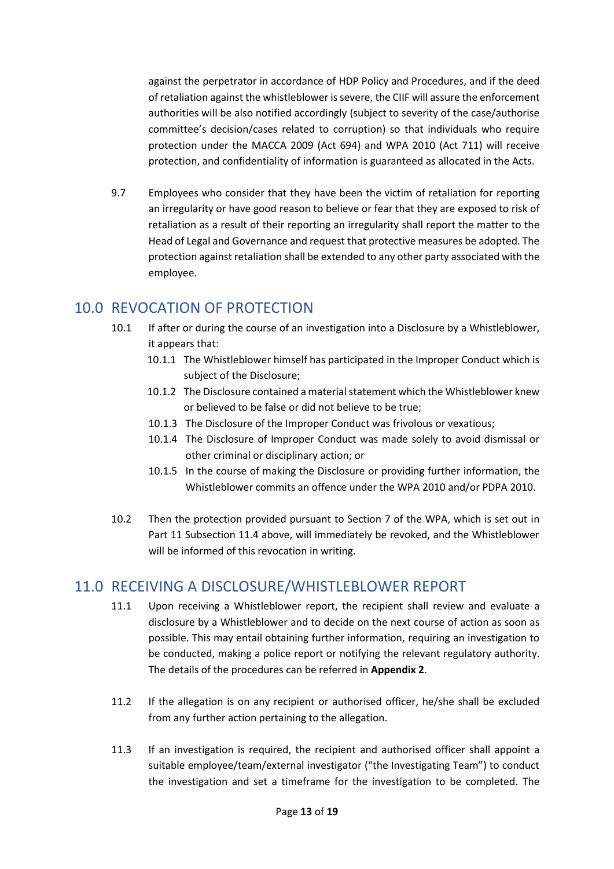against the perpetrator in accordance of HDP Policy and Procedures, and if the deed of retaliation against the whistleblower is severe, the CIIF will assure the enforcement authorities will be also notified accordingly (subject to severity of the case/authorise committee's decision/cases related to corruption) so that individuals who require protection under the MACCA 2009 (Act 694) and WPA 2010 (Act 711) will receive protection, and confidentiality of information is guaranteed as allocated in the Acts.

9.7 Employees who consider that they have been the victim of retaliation for reporting an irregularity or have good reason to believe or fear that they are exposed to risk of retaliation as a result of their reporting an irregularity shall report the matter to the Head of Legal and Governance and request that protective measures be adopted. The protection against retaliation shall be extended to any other party associated with the employee.

# <span id="page-12-0"></span>10.0 REVOCATION OF PROTECTION

- 10.1 If after or during the course of an investigation into a Disclosure by a Whistleblower, it appears that:
	- 10.1.1 The Whistleblower himself has participated in the Improper Conduct which is subject of the Disclosure;
	- 10.1.2 The Disclosure contained a material statement which the Whistleblower knew or believed to be false or did not believe to be true;
	- 10.1.3 The Disclosure of the Improper Conduct was frivolous or vexatious;
	- 10.1.4 The Disclosure of Improper Conduct was made solely to avoid dismissal or other criminal or disciplinary action; or
	- 10.1.5 In the course of making the Disclosure or providing further information, the Whistleblower commits an offence under the WPA 2010 and/or PDPA 2010.
- 10.2 Then the protection provided pursuant to Section 7 of the WPA, which is set out in Part 11 Subsection 11.4 above, will immediately be revoked, and the Whistleblower will be informed of this revocation in writing.

# <span id="page-12-1"></span>11.0 RECEIVING A DISCLOSURE/WHISTLEBLOWER REPORT

- 11.1 Upon receiving a Whistleblower report, the recipient shall review and evaluate a disclosure by a Whistleblower and to decide on the next course of action as soon as possible. This may entail obtaining further information, requiring an investigation to be conducted, making a police report or notifying the relevant regulatory authority. The details of the procedures can be referred in **Appendix 2**.
- 11.2 If the allegation is on any recipient or authorised officer, he/she shall be excluded from any further action pertaining to the allegation.
- 11.3 If an investigation is required, the recipient and authorised officer shall appoint a suitable employee/team/external investigator ("the Investigating Team") to conduct the investigation and set a timeframe for the investigation to be completed. The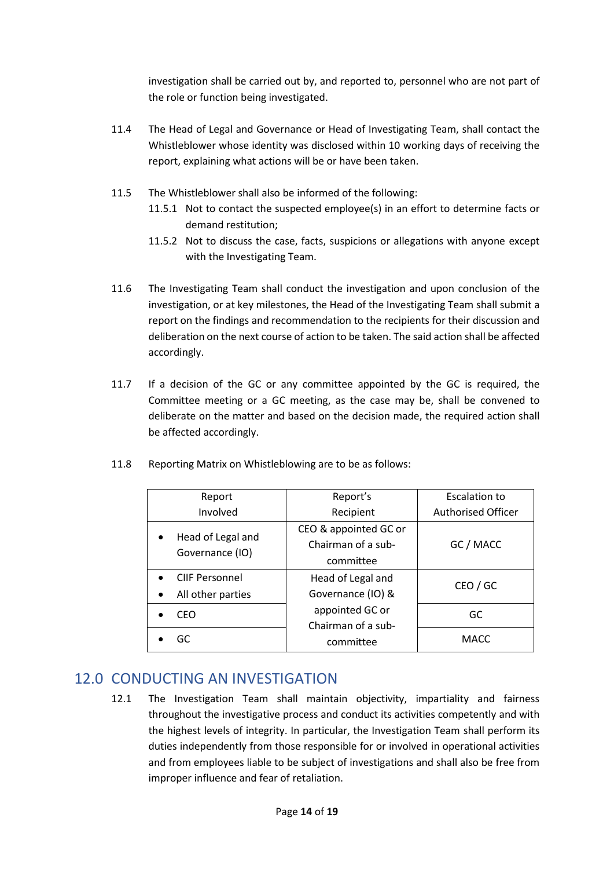investigation shall be carried out by, and reported to, personnel who are not part of the role or function being investigated.

- 11.4 The Head of Legal and Governance or Head of Investigating Team, shall contact the Whistleblower whose identity was disclosed within 10 working days of receiving the report, explaining what actions will be or have been taken.
- 11.5 The Whistleblower shall also be informed of the following:
	- 11.5.1 Not to contact the suspected employee(s) in an effort to determine facts or demand restitution;
	- 11.5.2 Not to discuss the case, facts, suspicions or allegations with anyone except with the Investigating Team.
- 11.6 The Investigating Team shall conduct the investigation and upon conclusion of the investigation, or at key milestones, the Head of the Investigating Team shall submit a report on the findings and recommendation to the recipients for their discussion and deliberation on the next course of action to be taken. The said action shall be affected accordingly.
- 11.7 If a decision of the GC or any committee appointed by the GC is required, the Committee meeting or a GC meeting, as the case may be, shall be convened to deliberate on the matter and based on the decision made, the required action shall be affected accordingly.

| 11.8 | Reporting Matrix on Whistleblowing are to be as follows: |
|------|----------------------------------------------------------|
|      |                                                          |

| Report                             | Report's              | <b>Escalation to</b>      |
|------------------------------------|-----------------------|---------------------------|
| Involved                           | Recipient             | <b>Authorised Officer</b> |
| Head of Legal and                  | CEO & appointed GC or |                           |
|                                    | Chairman of a sub-    | GC / MACC                 |
| Governance (IO)                    | committee             |                           |
| <b>CIIF Personnel</b><br>$\bullet$ | Head of Legal and     | CEO / GC                  |
| All other parties<br>$\bullet$     | Governance (IO) &     |                           |
| CEO                                | appointed GC or       | GC                        |
|                                    | Chairman of a sub-    |                           |
| GC                                 | committee             | <b>MACC</b>               |

### <span id="page-13-0"></span>12.0 CONDUCTING AN INVESTIGATION

12.1 The Investigation Team shall maintain objectivity, impartiality and fairness throughout the investigative process and conduct its activities competently and with the highest levels of integrity. In particular, the Investigation Team shall perform its duties independently from those responsible for or involved in operational activities and from employees liable to be subject of investigations and shall also be free from improper influence and fear of retaliation.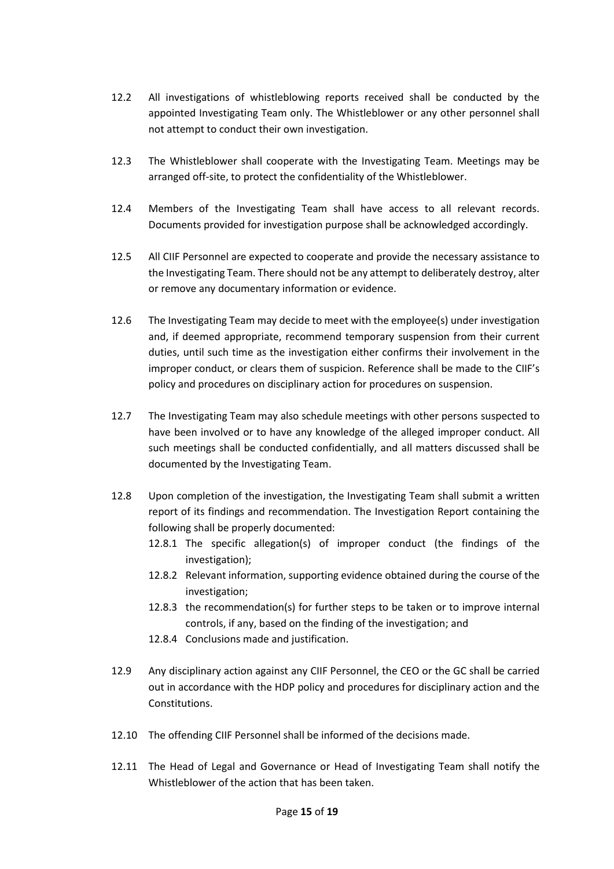- 12.2 All investigations of whistleblowing reports received shall be conducted by the appointed Investigating Team only. The Whistleblower or any other personnel shall not attempt to conduct their own investigation.
- 12.3 The Whistleblower shall cooperate with the Investigating Team. Meetings may be arranged off-site, to protect the confidentiality of the Whistleblower.
- 12.4 Members of the Investigating Team shall have access to all relevant records. Documents provided for investigation purpose shall be acknowledged accordingly.
- 12.5 All CIIF Personnel are expected to cooperate and provide the necessary assistance to the Investigating Team. There should not be any attempt to deliberately destroy, alter or remove any documentary information or evidence.
- 12.6 The Investigating Team may decide to meet with the employee(s) under investigation and, if deemed appropriate, recommend temporary suspension from their current duties, until such time as the investigation either confirms their involvement in the improper conduct, or clears them of suspicion. Reference shall be made to the CIIF's policy and procedures on disciplinary action for procedures on suspension.
- 12.7 The Investigating Team may also schedule meetings with other persons suspected to have been involved or to have any knowledge of the alleged improper conduct. All such meetings shall be conducted confidentially, and all matters discussed shall be documented by the Investigating Team.
- 12.8 Upon completion of the investigation, the Investigating Team shall submit a written report of its findings and recommendation. The Investigation Report containing the following shall be properly documented:
	- 12.8.1 The specific allegation(s) of improper conduct (the findings of the investigation);
	- 12.8.2 Relevant information, supporting evidence obtained during the course of the investigation;
	- 12.8.3 the recommendation(s) for further steps to be taken or to improve internal controls, if any, based on the finding of the investigation; and
	- 12.8.4 Conclusions made and justification.
- 12.9 Any disciplinary action against any CIIF Personnel, the CEO or the GC shall be carried out in accordance with the HDP policy and procedures for disciplinary action and the Constitutions.
- 12.10 The offending CIIF Personnel shall be informed of the decisions made.
- 12.11 The Head of Legal and Governance or Head of Investigating Team shall notify the Whistleblower of the action that has been taken.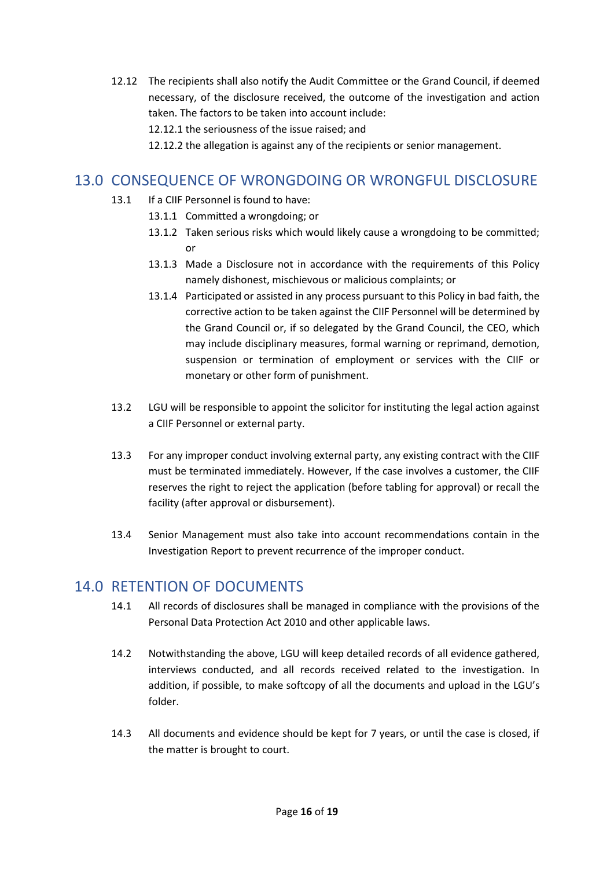- 12.12 The recipients shall also notify the Audit Committee or the Grand Council, if deemed necessary, of the disclosure received, the outcome of the investigation and action taken. The factors to be taken into account include:
	- 12.12.1 the seriousness of the issue raised; and
	- 12.12.2 the allegation is against any of the recipients or senior management.

# <span id="page-15-0"></span>13.0 CONSEQUENCE OF WRONGDOING OR WRONGFUL DISCLOSURE

- 13.1 If a CIIF Personnel is found to have:
	- 13.1.1 Committed a wrongdoing; or
	- 13.1.2 Taken serious risks which would likely cause a wrongdoing to be committed; or
	- 13.1.3 Made a Disclosure not in accordance with the requirements of this Policy namely dishonest, mischievous or malicious complaints; or
	- 13.1.4 Participated or assisted in any process pursuant to this Policy in bad faith, the corrective action to be taken against the CIIF Personnel will be determined by the Grand Council or, if so delegated by the Grand Council, the CEO, which may include disciplinary measures, formal warning or reprimand, demotion, suspension or termination of employment or services with the CIIF or monetary or other form of punishment.
- 13.2 LGU will be responsible to appoint the solicitor for instituting the legal action against a CIIF Personnel or external party.
- 13.3 For any improper conduct involving external party, any existing contract with the CIIF must be terminated immediately. However, If the case involves a customer, the CIIF reserves the right to reject the application (before tabling for approval) or recall the facility (after approval or disbursement).
- 13.4 Senior Management must also take into account recommendations contain in the Investigation Report to prevent recurrence of the improper conduct.

# <span id="page-15-1"></span>14.0 RETENTION OF DOCUMENTS

- 14.1 All records of disclosures shall be managed in compliance with the provisions of the Personal Data Protection Act 2010 and other applicable laws.
- 14.2 Notwithstanding the above, LGU will keep detailed records of all evidence gathered, interviews conducted, and all records received related to the investigation. In addition, if possible, to make softcopy of all the documents and upload in the LGU's folder.
- 14.3 All documents and evidence should be kept for 7 years, or until the case is closed, if the matter is brought to court.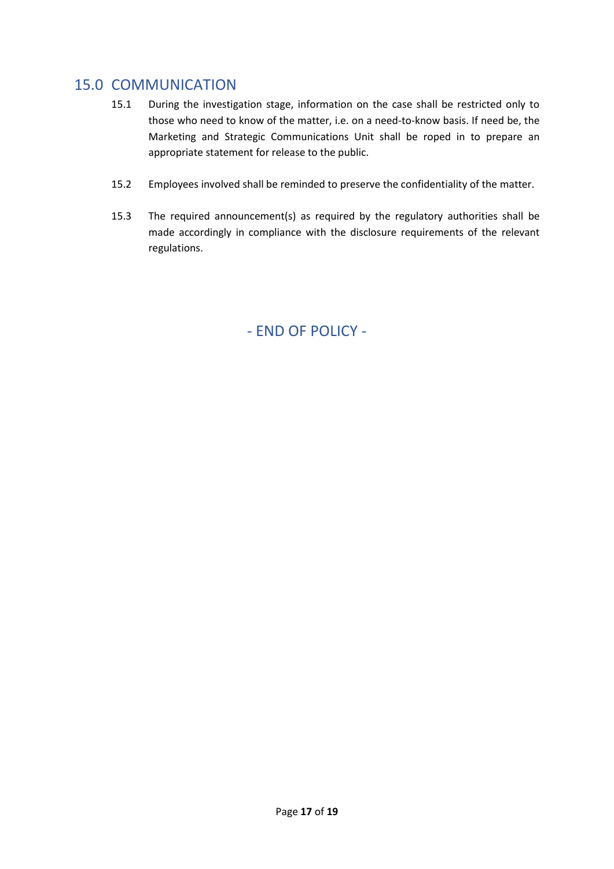# <span id="page-16-0"></span>15.0 COMMUNICATION

- 15.1 During the investigation stage, information on the case shall be restricted only to those who need to know of the matter, i.e. on a need-to-know basis. If need be, the Marketing and Strategic Communications Unit shall be roped in to prepare an appropriate statement for release to the public.
- 15.2 Employees involved shall be reminded to preserve the confidentiality of the matter.
- 15.3 The required announcement(s) as required by the regulatory authorities shall be made accordingly in compliance with the disclosure requirements of the relevant regulations.

- END OF POLICY -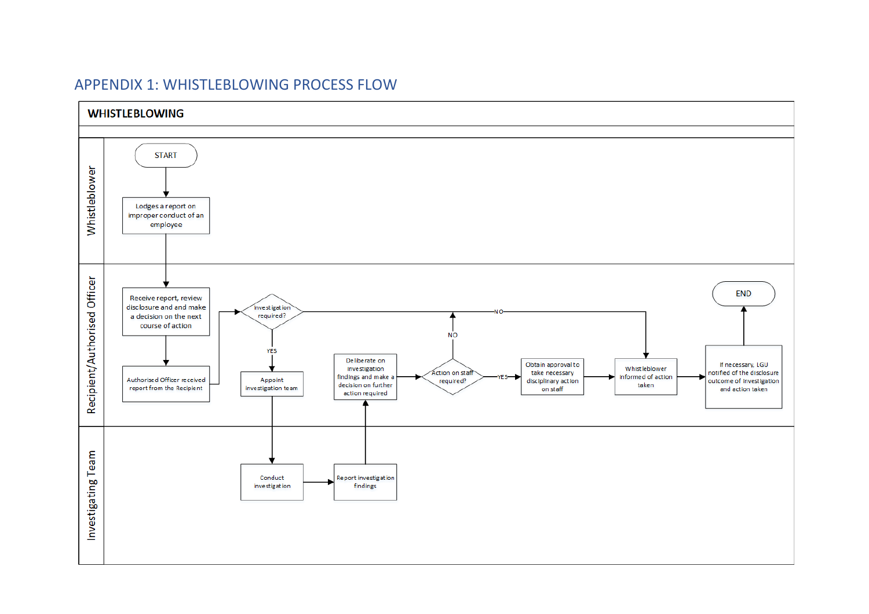<span id="page-17-0"></span>

## APPENDIX 1: WHISTLEBLOWING PROCESS FLOW